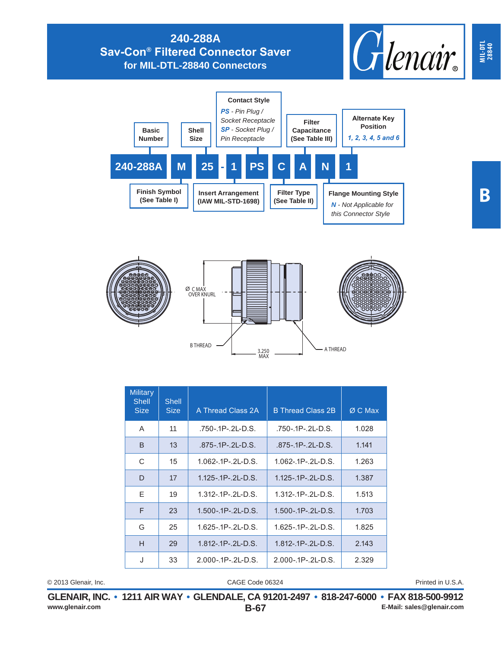## **240-288A Sav-Con® Filtered Connector Saver for MIL-DTL-28840 Connectors**







| <b>Military</b><br>Shell<br><b>Size</b> | Shell<br><b>Size</b> | A Thread Class 2A          | <b>B Thread Class 2B</b>  | $ØC$ Max |
|-----------------------------------------|----------------------|----------------------------|---------------------------|----------|
| A                                       | 11                   | .750-.1P-.2L-D.S.          | .750-.1P-.2L-D.S.         | 1.028    |
| <sub>B</sub>                            | 13                   | $.875 - .1P - .2L - D.S.$  | $.875 - .1P - .2L - D.S.$ | 1.141    |
| C                                       | 15                   | $1.062 - 1P - 2L - D.S.$   | $1.062 - 1P - 2L - D.S.$  | 1.263    |
| D                                       | 17                   | $1.125 - .1P - .2L - D.S.$ | $1.125 - 1P - 2L - D.S.$  | 1.387    |
| E                                       | 19                   | $1.312 - 1P - 2L - D.S.$   | $1.312 - 1P - 2L - D.S.$  | 1.513    |
| E                                       | 23                   | $1.500 - 1P - 2L - D.S.$   | $1.500 - 1P - 2L - D.S.$  | 1.703    |
| G                                       | 25                   | $1.625 - 1P - 2L - D.S.$   | 1.625-.1P-.2L-D.S.        | 1.825    |
| H                                       | 29                   | $1.812 - 1P - 2L - D.S.$   | $1.812 - 1P - 2L - D.S.$  | 2.143    |
| J                                       | 33                   | $2.000 - 1P - 2L - D.S.$   | $2.000 - 1P - 2L - D.S.$  | 2.329    |

© 2013 Glenair, Inc. Printed in U.S.A.

CAGE Code 06324

**B-67 GLENAIR, INC. • 1211 AIR WAY • GLENDALE, CA 91201-2497 • 818-247-6000 • FAX 818-500-9912**<br>E-Mail: sales@glenair.com **www.glenair.com E-Mail: sales@glenair.com** **MIL-DTL 28840**